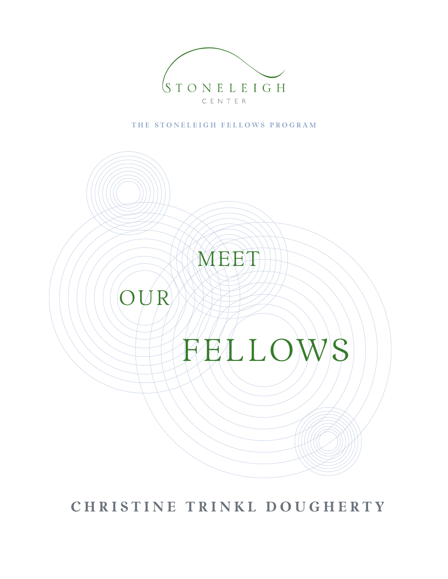

THE STONELEIGH FELLOWS PROGRAM



 **C h r i s t i n e T r i n k l D o u g h e r t y**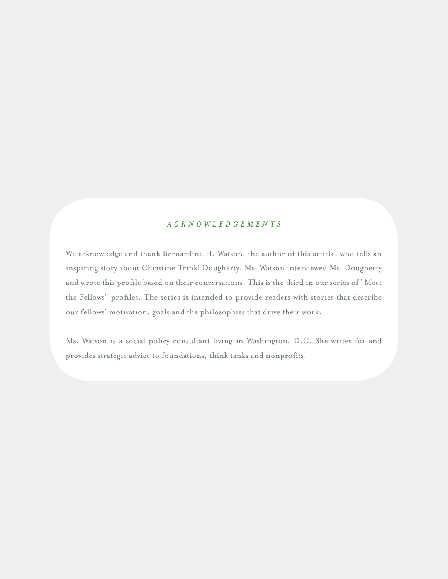### *A C K N O W L E D G E M E N T S*

We acknowledge and thank Bernardine H. Watson, the author of this article, who tells an inspiring story about Christine Trinkl Dougherty. Ms. Watson interviewed Ms. Dougherty and wrote this profile based on their conversations. This is the third in our series of "Meet the Fellows" profiles. The series is intended to provide readers with stories that describe our fellows' motivation, goals and the philosophies that drive their work.

Ms. Watson is a social policy consultant living in Washington, D.C. She writes for and provides strategic advice to foundations, think tanks and nonprofits.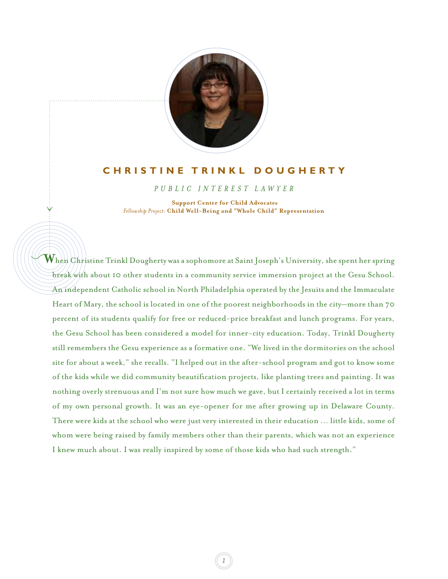

### **C h r i s t i n e T r i n k l D o u g h e r t y**

*P U B L I C I N T E R E S T L A W Y E R*

 **Support Center for Child Advocates**  *Fellowship Project:* **Child Well-Being and "Whole Child" Representation**

 $\check{\vee}$ 

**W** hen Christine Trinkl Dougherty was a sophomore at Saint Joseph's University, she spent her spring break with about 10 other students in a community service immersion project at the Gesu School. An independent Catholic school in North Philadelphia operated by the Jesuits and the Immaculate Heart of Mary, the school is located in one of the poorest neighborhoods in the city—more than 70 percent of its students qualify for free or reduced-price breakfast and lunch programs. For years, the Gesu School has been considered a model for inner-city education. Today, Trinkl Dougherty still remembers the Gesu experience as a formative one. "We lived in the dormitories on the school site for about a week," she recalls. "I helped out in the after-school program and got to know some of the kids while we did community beautification projects, like planting trees and painting. It was nothing overly strenuous and I'm not sure how much we gave, but I certainly received a lot in terms of my own personal growth. It was an eye-opener for me after growing up in Delaware County. There were kids at the school who were just very interested in their education … little kids, some of whom were being raised by family members other than their parents, which was not an experience I knew much about. I was really inspired by some of those kids who had such strength."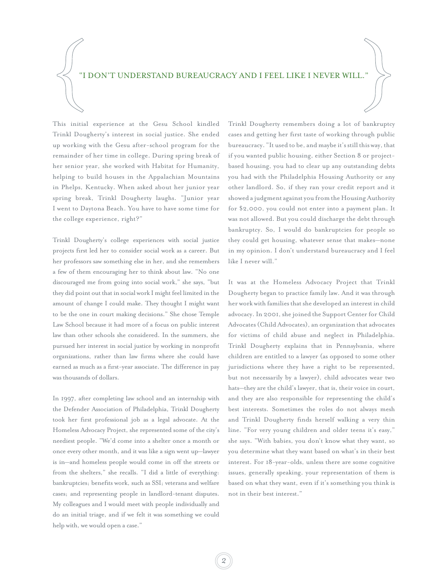#### "I DON'T UNDERSTAND BUREAUCRACY AND I FEEL LIKE I NEVER WILL."

This initial experience at the Gesu School kindled Trinkl Dougherty's interest in social justice. She ended up working with the Gesu after-school program for the remainder of her time in college. During spring break of her senior year, she worked with Habitat for Humanity, helping to build houses in the Appalachian Mountains in Phelps, Kentucky. When asked about her junior year spring break, Trinkl Dougherty laughs. "Junior year I went to Daytona Beach. You have to have some time for the college experience, right?"

Trinkl Dougherty's college experiences with social justice projects first led her to consider social work as a career. But her professors saw something else in her, and she remembers a few of them encouraging her to think about law. "No one discouraged me from going into social work," she says, "but they did point out that in social work I might feel limited in the amount of change I could make. They thought I might want to be the one in court making decisions." She chose Temple Law School because it had more of a focus on public interest law than other schools she considered. In the summers, she pursued her interest in social justice by working in nonprofit organizations, rather than law firms where she could have earned as much as a first-year associate. The difference in pay was thousands of dollars.

In 1997, after completing law school and an internship with the Defender Association of Philadelphia, Trinkl Dougherty took her first professional job as a legal advocate. At the Homeless Advocacy Project, she represented some of the city's neediest people. "We'd come into a shelter once a month or once every other month, and it was like a sign went up—lawyer is in—and homeless people would come in off the streets or from the shelters," she recalls. "I did a little of everything: bankruptcies; benefits work, such as SSI; veterans and welfare cases; and representing people in landlord-tenant disputes. My colleagues and I would meet with people individually and do an initial triage, and if we felt it was something we could help with, we would open a case."

Trinkl Dougherty remembers doing a lot of bankruptcy cases and getting her first taste of working through public bureaucracy. "It used to be, and maybe it's still this way, that if you wanted public housing, either Section 8 or projectbased housing, you had to clear up any outstanding debts you had with the Philadelphia Housing Authority or any other landlord. So, if they ran your credit report and it showed a judgment against you from the Housing Authority for \$2,000, you could not enter into a payment plan. It was not allowed. But you could discharge the debt through bankruptcy. So, I would do bankruptcies for people so they could get housing, whatever sense that makes—none in my opinion. I don't understand bureaucracy and I feel like I never will."

It was at the Homeless Advocacy Project that Trinkl Dougherty began to practice family law. And it was through her work with families that she developed an interest in child advocacy. In 2001, she joined the Support Center for Child Advocates (Child Advocates), an organization that advocates for victims of child abuse and neglect in Philadelphia. Trinkl Dougherty explains that in Pennsylvania, where children are entitled to a lawyer (as opposed to some other jurisdictions where they have a right to be represented, but not necessarily by a lawyer), child advocates wear two hats—they are the child's lawyer, that is, their voice in court, and they are also responsible for representing the child's best interests. Sometimes the roles do not always mesh and Trinkl Dougherty finds herself walking a very thin line. "For very young children and older teens it's easy," she says. "With babies, you don't know what they want, so you determine what they want based on what's in their best interest. For 18-year-olds, unless there are some cognitive issues, generally speaking, your representation of them is based on what they want, even if it's something you think is not in their best interest."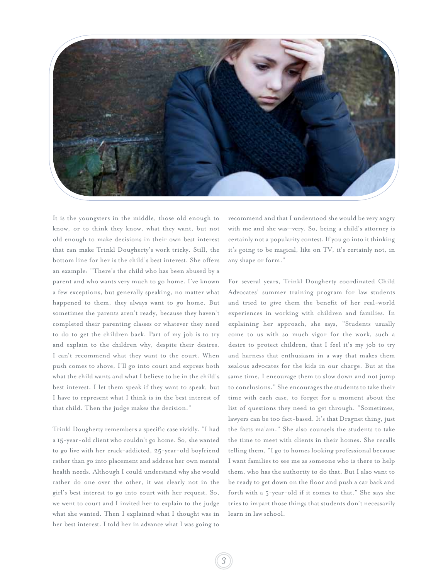

It is the youngsters in the middle, those old enough to know, or to think they know, what they want, but not old enough to make decisions in their own best interest that can make Trinkl Dougherty's work tricky. Still, the bottom line for her is the child's best interest. She offers an example: "There's the child who has been abused by a parent and who wants very much to go home. I've known a few exceptions, but generally speaking, no matter what happened to them, they always want to go home. But sometimes the parents aren't ready, because they haven't completed their parenting classes or whatever they need to do to get the children back. Part of my job is to try and explain to the children why, despite their desires, I can't recommend what they want to the court. When push comes to shove, I'll go into court and express both what the child wants and what I believe to be in the child's best interest. I let them speak if they want to speak, but I have to represent what I think is in the best interest of that child. Then the judge makes the decision."

Trinkl Dougherty remembers a specific case vividly. "I had a 15-year-old client who couldn't go home. So, she wanted to go live with her crack-addicted, 25-year-old boyfriend rather than go into placement and address her own mental health needs. Although I could understand why she would rather do one over the other, it was clearly not in the girl's best interest to go into court with her request. So, we went to court and I invited her to explain to the judge what she wanted. Then I explained what I thought was in her best interest. I told her in advance what I was going to

recommend and that I understood she would be very angry with me and she was—very. So, being a child's attorney is certainly not a popularity contest. If you go into it thinking it's going to be magical, like on TV, it's certainly not, in any shape or form."

For several years, Trinkl Dougherty coordinated Child Advocates' summer training program for law students and tried to give them the benefit of her real-world experiences in working with children and families. In explaining her approach, she says, "Students usually come to us with so much vigor for the work, such a desire to protect children, that I feel it's my job to try and harness that enthusiasm in a way that makes them zealous advocates for the kids in our charge. But at the same time, I encourage them to slow down and not jump to conclusions." She encourages the students to take their time with each case, to forget for a moment about the list of questions they need to get through. "Sometimes, lawyers can be too fact-based. It's that Dragnet thing, just the facts ma'am." She also counsels the students to take the time to meet with clients in their homes. She recalls telling them, "I go to homes looking professional because I want families to see me as someone who is there to help them, who has the authority to do that. But I also want to be ready to get down on the floor and push a car back and forth with a 5-year-old if it comes to that." She says she tries to impart those things that students don't necessarily learn in law school.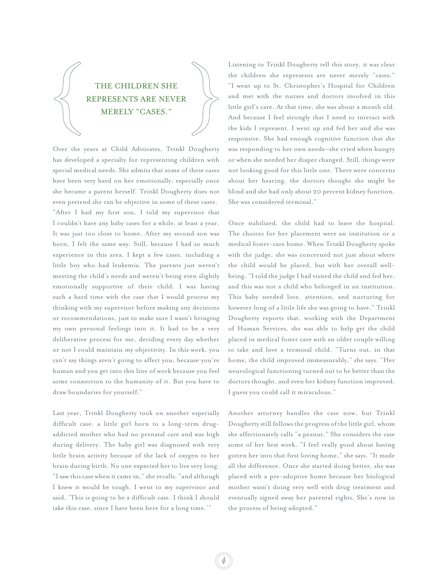# THE CHILDREN SHE REPRESENTS ARE NEVER MERELY "CASES."

Over the years at Child Advocates, Trinkl Dougherty has developed a specialty for representing children with special medical needs. She admits that some of these cases have been very hard on her emotionally, especially once she became a parent herself. Trinkl Dougherty does not even pretend she can be objective in some of these cases. "After I had my first son, I told my supervisor that I couldn't have any baby cases for a while, at least a year. It was just too close to home. After my second son was born, I felt the same way. Still, because I had so much experience in this area, I kept a few cases, including a little boy who had leukemia. The parents just weren't meeting the child's needs and weren't being even slightly emotionally supportive of their child. I was having such a hard time with the case that I would process my thinking with my supervisor before making any decisions or recommendations, just to make sure I wasn't bringing my own personal feelings into it. It had to be a very deliberative process for me, deciding every day whether or not I could maintain my objectivity. In this work, you can't say things aren't going to affect you, because you're human and you get into this line of work because you feel some connection to the humanity of it. But you have to draw boundaries for yourself."

Last year, Trinkl Dougherty took on another especially difficult case: a little girl born to a long-term drugaddicted mother who had no prenatal care and was high during delivery. The baby girl was diagnosed with very little brain activity because of the lack of oxygen to her brain during birth. No one expected her to live very long. "I saw this case when it came in," she recalls, "and although I knew it would be tough, I went to my supervisor and said, 'This is going to be a difficult case. I think I should take this case, since I have been here for a long time.'"

Listening to Trinkl Dougherty tell this story, it was clear the children she represents are never merely "cases." "I went up to St. Christopher's Hospital for Children and met with the nurses and doctors involved in this little girl's care. At that time, she was about a month old. And because I feel strongly that I need to interact with the kids I represent, I went up and fed her and she was responsive. She had enough cognitive function that she was responding to her own needs—she cried when hungry or when she needed her diaper changed. Still, things were not looking good for this little one. There were concerns about her hearing, the doctors thought she might be blind and she had only about 20 percent kidney function. She was considered terminal."

Once stabilized, the child had to leave the hospital. The choices for her placement were an institution or a medical foster-care home. When Trinkl Dougherty spoke with the judge, she was concerned not just about where the child would be placed, but with her overall wellbeing. "I told the judge I had visited the child and fed her, and this was not a child who belonged in an institution. This baby needed love, attention, and nurturing for however long of a little life she was going to have." Trinkl Dougherty reports that, working with the Department of Human Services, she was able to help get the child placed in medical foster care with an older couple willing to take and love a terminal child. "Turns out, in that home, the child improved immeasurably," she says. "Her neurological functioning turned out to be better than the doctors thought, and even her kidney function improved. I guess you could call it miraculous."

Another attorney handles the case now, but Trinkl Dougherty still follows the progress of the little girl, whom she affectionately calls "a peanut." She considers the case some of her best work. "I feel really good about having gotten her into that first loving home," she says. "It made all the difference. Once she started doing better, she was placed with a pre-adoptive home because her biological mother wasn't doing very well with drug treatment and eventually signed away her parental rights. She's now in the process of being adopted."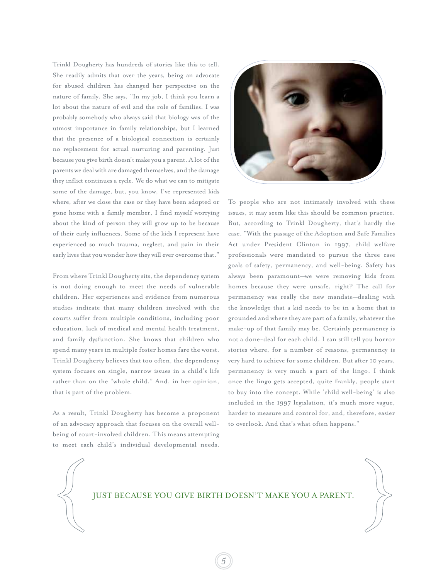Trinkl Dougherty has hundreds of stories like this to tell. She readily admits that over the years, being an advocate for abused children has changed her perspective on the nature of family. She says, "In my job, I think you learn a lot about the nature of evil and the role of families. I was probably somebody who always said that biology was of the utmost importance in family relationships, but I learned that the presence of a biological connection is certainly no replacement for actual nurturing and parenting. Just because you give birth doesn't make you a parent. A lot of the parents we deal with are damaged themselves, and the damage they inflict continues a cycle. We do what we can to mitigate some of the damage, but, you know, I've represented kids where, after we close the case or they have been adopted or gone home with a family member, I find myself worrying about the kind of person they will grow up to be because of their early influences. Some of the kids I represent have experienced so much trauma, neglect, and pain in their early lives that you wonder how they will ever overcome that."

From where Trinkl Dougherty sits, the dependency system is not doing enough to meet the needs of vulnerable children. Her experiences and evidence from numerous studies indicate that many children involved with the courts suffer from multiple conditions, including poor education, lack of medical and mental health treatment, and family dysfunction. She knows that children who spend many years in multiple foster homes fare the worst. Trinkl Dougherty believes that too often, the dependency system focuses on single, narrow issues in a child's life rather than on the "whole child." And, in her opinion, that is part of the problem.

As a result, Trinkl Dougherty has become a proponent of an advocacy approach that focuses on the overall wellbeing of court-involved children. This means attempting to meet each child's individual developmental needs.



To people who are not intimately involved with these issues, it may seem like this should be common practice. But, according to Trinkl Dougherty, that's hardly the case. "With the passage of the Adoption and Safe Families Act under President Clinton in 1997, child welfare professionals were mandated to pursue the three case goals of safety, permanency, and well-being. Safety has always been paramount—we were removing kids from homes because they were unsafe, right? The call for permanency was really the new mandate—dealing with the knowledge that a kid needs to be in a home that is grounded and where they are part of a family, whatever the make-up of that family may be. Certainly permanency is not a done-deal for each child. I can still tell you horror stories where, for a number of reasons, permanency is very hard to achieve for some children. But after 10 years, permanency is very much a part of the lingo. I think once the lingo gets accepted, quite frankly, people start to buy into the concept. While 'child well-being' is also included in the 1997 legislation, it's much more vague, harder to measure and control for, and, therefore, easier to overlook. And that's what often happens."

### JUST BECAUSE YOU GIVE BIRTH DOESN'T MAKE YOU A PARENT.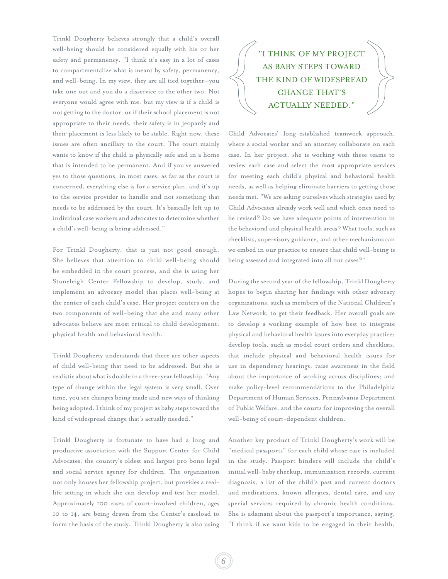Trinkl Dougherty believes strongly that a child's overall well-being should be considered equally with his or her safety and permanency. "I think it's easy in a lot of cases to compartmentalize what is meant by safety, permanency, and well-being. In my view, they are all tied together—you take one out and you do a disservice to the other two. Not everyone would agree with me, but my view is if a child is not getting to the doctor, or if their school placement is not appropriate to their needs, their safety is in jeopardy and their placement is less likely to be stable. Right now, these issues are often ancillary to the court. The court mainly wants to know if the child is physically safe and in a home that is intended to be permanent. And if you've answered yes to those questions, in most cases, as far as the court is concerned, everything else is for a service plan, and it's up to the service provider to handle and not something that needs to be addressed by the court. It's basically left up to individual case workers and advocates to determine whether a child's well-being is being addressed."

For Trinkl Dougherty, that is just not good enough. She believes that attention to child well-being should be embedded in the court process, and she is using her Stoneleigh Center Fellowship to develop, study, and implement an advocacy model that places well-being at the center of each child's case. Her project centers on the two components of well-being that she and many other advocates believe are most critical to child development: physical health and behavioral health.

Trinkl Dougherty understands that there are other aspects of child well-being that need to be addressed. But she is realistic about what is doable in a three-year fellowship. "Any type of change within the legal system is very small. Over time, you see changes being made and new ways of thinking being adopted. I think of my project as baby steps toward the kind of widespread change that's actually needed."

Trinkl Dougherty is fortunate to have had a long and productive association with the Support Center for Child Advocates, the country's oldest and largest pro bono legal and social service agency for children. The organization not only houses her fellowship project, but provides a reallife setting in which she can develop and test her model. Approximately 100 cases of court-involved children, ages 10 to 14, are being drawn from the Center's caseload to form the basis of the study. Trinkl Dougherty is also using

## "I THINK OF MY PROJECT AS BABY STEPS TOWARD THE KIND OF WIDESPREAD CHANGE THAT'S ACTUALLY NEEDED."

Child Advocates' long-established teamwork approach, where a social worker and an attorney collaborate on each case. In her project, she is working with these teams to review each case and select the most appropriate services for meeting each child's physical and behavioral health needs, as well as helping eliminate barriers to getting those needs met. "We are asking ourselves which strategies used by Child Advocates already work well and which ones need to be revised? Do we have adequate points of intervention in the behavioral and physical health areas? What tools, such as checklists, supervisory guidance, and other mechanisms can we embed in our practice to ensure that child well-being is being assessed and integrated into all our cases?"

During the second year of the fellowship, Trinkl Dougherty hopes to begin sharing her findings with other advocacy organizations, such as members of the National Children's Law Network, to get their feedback. Her overall goals are to develop a working example of how best to integrate physical and behavioral health issues into everyday practice; develop tools, such as model court orders and checklists, that include physical and behavioral health issues for use in dependency hearings; raise awareness in the field about the importance of working across disciplines; and make policy-level recommendations to the Philadelphia Department of Human Services, Pennsylvania Department of Public Welfare, and the courts for improving the overall well-being of court-dependent children.

Another key product of Trinkl Dougherty's work will be "medical passports" for each child whose case is included in the study. Passport binders will include the child's initial well-baby checkup, immunization records, current diagnosis, a list of the child's past and current doctors and medications, known allergies, dental care, and any special services required by chronic health conditions. She is adamant about the passport's importance, saying, "I think if we want kids to be engaged in their health,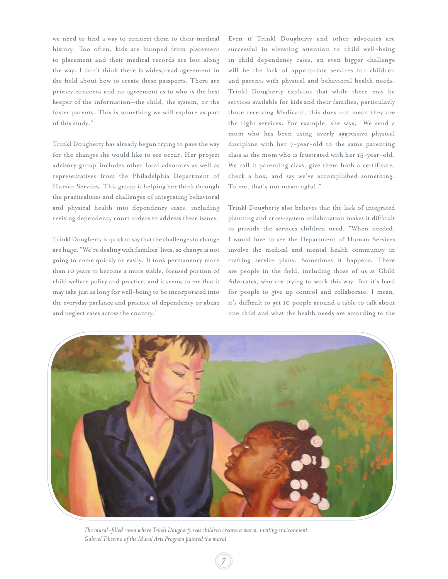we need to find a way to connect them to their medical history. Too often, kids are bumped from placement to placement and their medical records are lost along the way. I don't think there is widespread agreement in the field about how to create these passports. There are privacy concerns and no agreement as to who is the best keeper of the information—the child, the system, or the foster parents. This is something we will explore as part of this study."

Trinkl Dougherty has already begun trying to pave the way for the changes she would like to see occur. Her project advisory group includes other local advocates as well as representatives from the Philadelphia Department of Human Services. This group is helping her think through the practicalities and challenges of integrating behavioral and physical health into dependency cases, including revising dependency court orders to address these issues.

Trinkl Dougherty is quick to say that the challenges to change are huge. "We're dealing with families' lives, so change is not going to come quickly or easily. It took permanency more than 10 years to become a more stable, focused portion of child welfare policy and practice, and it seems to me that it may take just as long for well-being to be incorporated into the everyday parlance and practice of dependency or abuse and neglect cases across the country."

Even if Trinkl Dougherty and other advocates are successful in elevating attention to child well-being in child dependency cases, an even bigger challenge will be the lack of appropriate services for children and parents with physical and behavioral health needs. Trinkl Dougherty explains that while there may be services available for kids and their families, particularly those receiving Medicaid, this does not mean they are the right services. For example, she says, "We send a mom who has been using overly aggressive physical discipline with her 7-year-old to the same parenting class as the mom who is frustrated with her 15-year-old. We call it parenting class, give them both a certificate, check a box, and say we've accomplished something. To me, that's not meaningful."

Trinkl Dougherty also believes that the lack of integrated planning and cross-system collaboration makes it difficult to provide the services children need. "When needed, I would love to see the Department of Human Services involve the medical and mental health community in crafting service plans. Sometimes it happens. There are people in the field, including those of us at Child Advocates, who are trying to work this way. But it's hard for people to give up control and collaborate. I mean, it's difficult to get 10 people around a table to talk about one child and what the health needs are according to the



*The mural-filled room where Trinkl Dougherty sees children creates a warm, inviting environment. Gabriel Tiberino of the Mural Arts Program painted the mural.*